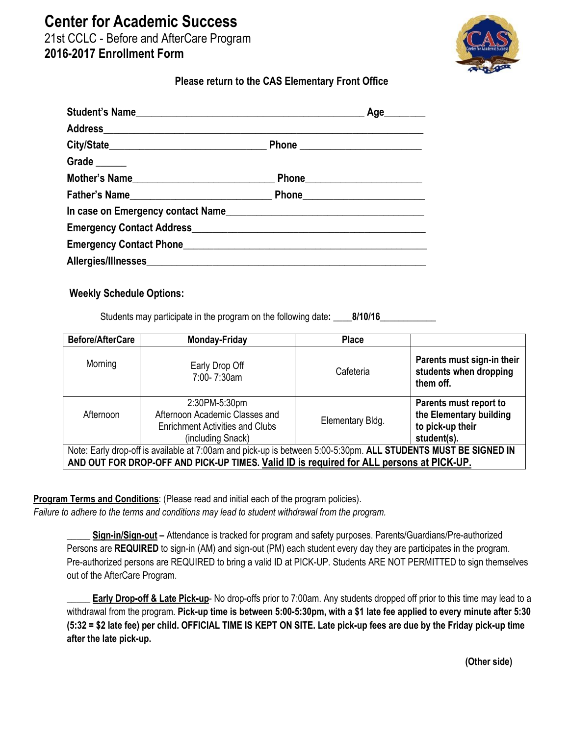**Center for Academic Success**

21st CCLC - Before and AfterCare Program **2016-2017 Enrollment Form** 



## **Please return to the CAS Elementary Front Office**

|                                                        | Age         |
|--------------------------------------------------------|-------------|
|                                                        |             |
|                                                        |             |
| Grade $\_\_$                                           |             |
| Mother's Name                                          |             |
| Father's Name                                          | Phone Phone |
| In case on Emergency contact Name                      |             |
|                                                        |             |
| Emergency Contact Phone <b>Emergency Contact Phone</b> |             |
|                                                        |             |

## **Weekly Schedule Options:**

Students may participate in the program on the following date: \_\_\_\_8/10/16\_

| <b>Before/AfterCare</b>                                                                                        | <b>Monday-Friday</b>                                                                                           | <b>Place</b>     |                                                                                      |  |
|----------------------------------------------------------------------------------------------------------------|----------------------------------------------------------------------------------------------------------------|------------------|--------------------------------------------------------------------------------------|--|
| Morning                                                                                                        | Early Drop Off<br>7:00-7:30am                                                                                  | Cafeteria        | Parents must sign-in their<br>students when dropping<br>them off.                    |  |
| Afternoon                                                                                                      | 2:30PM-5:30pm<br>Afternoon Academic Classes and<br><b>Enrichment Activities and Clubs</b><br>(including Snack) | Elementary Bldg. | Parents must report to<br>the Elementary building<br>to pick-up their<br>student(s). |  |
| Note: Early drop-off is available at 7:00am and pick-up is between 5:00-5:30pm. ALL STUDENTS MUST BE SIGNED IN |                                                                                                                |                  |                                                                                      |  |
| AND OUT FOR DROP-OFF AND PICK-UP TIMES. Valid ID is required for ALL persons at PICK-UP.                       |                                                                                                                |                  |                                                                                      |  |

**Program Terms and Conditions**: (Please read and initial each of the program policies).

*Failure to adhere to the terms and conditions may lead to student withdrawal from the program.*

\_\_\_\_\_ **Sign-in/Sign-out –** Attendance is tracked for program and safety purposes. Parents/Guardians/Pre-authorized Persons are **REQUIRED** to sign-in (AM) and sign-out (PM) each student every day they are participates in the program. Pre-authorized persons are REQUIRED to bring a valid ID at PICK-UP. Students ARE NOT PERMITTED to sign themselves out of the AfterCare Program.

**Early Drop-off & Late Pick-up-** No drop-offs prior to 7:00am. Any students dropped off prior to this time may lead to a withdrawal from the program. **Pick-up time is between 5:00-5:30pm, with a \$1 late fee applied to every minute after 5:30 (5:32 = \$2 late fee) per child. OFFICIAL TIME IS KEPT ON SITE. Late pick-up fees are due by the Friday pick-up time after the late pick-up.**

**(Other side)**